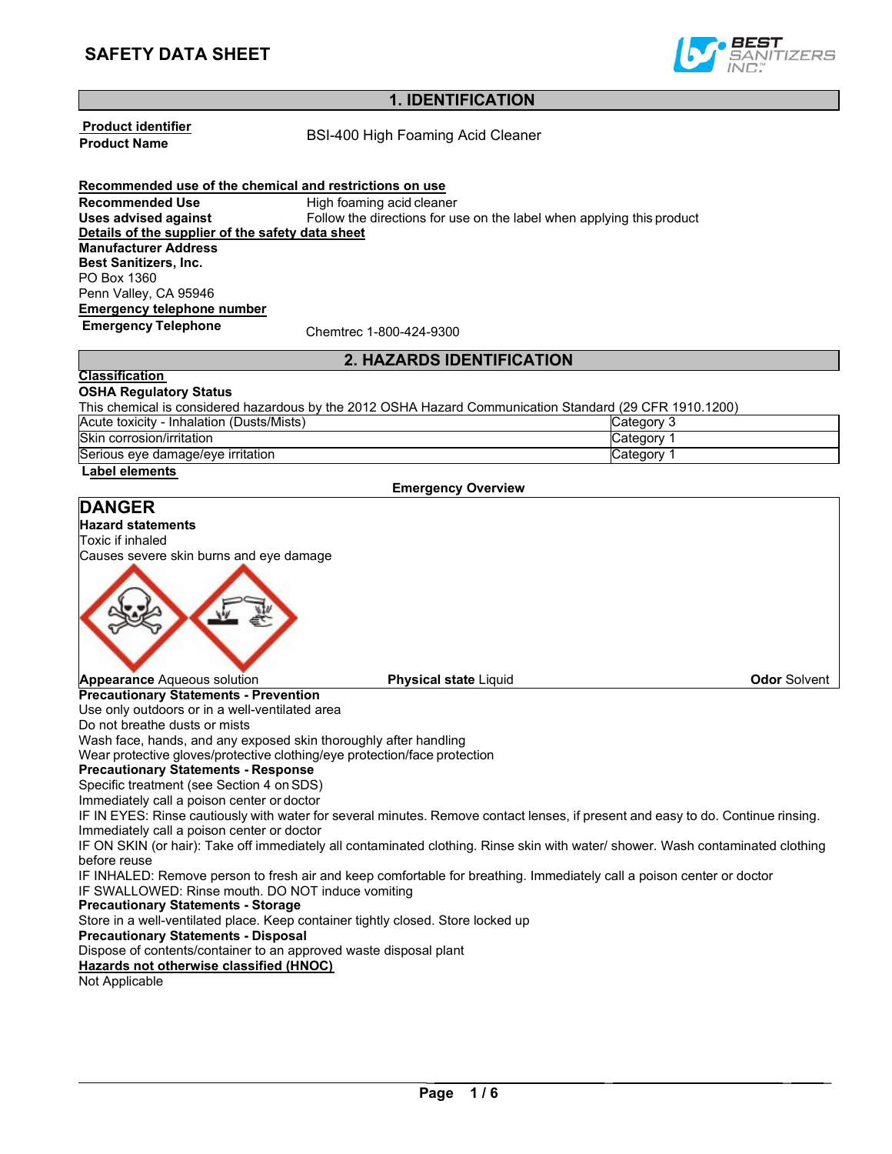

# **1. IDENTIFICATION**

**Product identifier**

**BSI-400 High Foaming Acid Cleaner** 

**Recommended use of the chemical and restrictions on use Recommended Use** High foaming acid cleaner **Uses advised against** Follow the directions for use on the label when applying this product **Details of the supplier of the safety data sheet Manufacturer Address Best Sanitizers, Inc.** PO Box 1360 Penn Valley, CA 95946 **Emergency telephone number**

**Emergency Telephone** Chemtrec 1-800-424-9300

# **2. HAZARDS IDENTIFICATION**

#### **C lassification OSHA Regulatory Status**

This chemical is considered hazardous by the 2012 OSHA Hazard Communication Standard (29 CFR 1910.1200)

| (Dusts/Mists)<br>Acute toxicitv<br>✓ - Inhalation_ | ' atedory۔ |
|----------------------------------------------------|------------|
| Skin corrosion/irritation                          | ∵ dtedorvس |
| Serious eye damage/eye irritation                  | ″ atedoryٽ |

#### **L abel elements**

**Emergency Overview**

# **Precautionary Statements - Prevention** Use only outdoors or in a well-ventilated area Do not breathe dusts or mists Wash face, hands, and any exposed skin thoroughly after handling Wear protective gloves/protective clothing/eye protection/face protection **Precautionary Statements - Response** Specific treatment (see Section 4 on SDS) Immediately call a poison center or doctor IF IN EYES: Rinse cautiously with water for several minutes. Remove contact lenses, if present and easy to do. Continue rinsing. Immediately call a poison center or doctor IF ON SKIN (or hair): Take off immediately all contaminated clothing. Rinse skin with water/ shower. Wash contaminated clothing before reuse IF INHALED: Remove person to fresh air and keep comfortable for breathing. Immediately call a poison center or doctor IF SWALLOWED: Rinse mouth. DO NOT induce vomiting **Precautionary Statements - Storage**  Store in a well-ventilated place. Keep container tightly closed. Store locked up **Precautionary Statements - Disposal** Dispose of contents/container to an approved waste disposal plant Hazards not otherwise classified (HNOC) Not Applicable **Appearance** Aqueous solution **Physical state** Liquid **Odor** Solvent **DANGER Hazard statements** Toxic if inhaled Causes severe skin burns and eye damage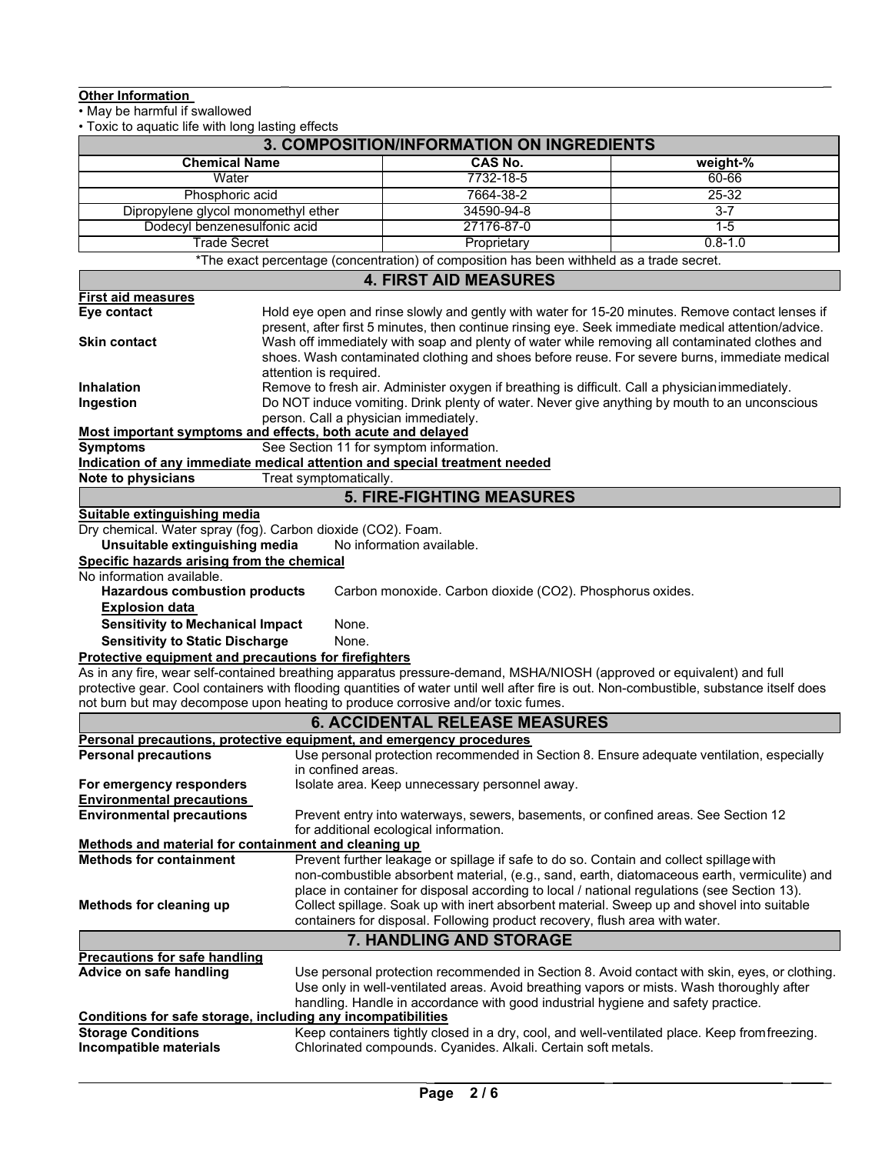### **Other Information**

• May be harmful if swallowed

• Toxic to aquatic life with long lasting effects

|                                                                                  |                                                                                                                                                                                                       | 3. COMPOSITION/INFORMATION ON INGREDIENTS                                                                                                                                                 |             |  |  |  |  |
|----------------------------------------------------------------------------------|-------------------------------------------------------------------------------------------------------------------------------------------------------------------------------------------------------|-------------------------------------------------------------------------------------------------------------------------------------------------------------------------------------------|-------------|--|--|--|--|
| <b>Chemical Name</b>                                                             |                                                                                                                                                                                                       | <b>CAS No.</b>                                                                                                                                                                            | weight-%    |  |  |  |  |
| Water                                                                            |                                                                                                                                                                                                       | 7732-18-5                                                                                                                                                                                 | 60-66       |  |  |  |  |
| Phosphoric acid                                                                  |                                                                                                                                                                                                       | 7664-38-2                                                                                                                                                                                 | $25 - 32$   |  |  |  |  |
| Dipropylene glycol monomethyl ether                                              |                                                                                                                                                                                                       | 34590-94-8                                                                                                                                                                                | $3 - 7$     |  |  |  |  |
| Dodecyl benzenesulfonic acid                                                     |                                                                                                                                                                                                       | 27176-87-0                                                                                                                                                                                | $1 - 5$     |  |  |  |  |
| <b>Trade Secret</b>                                                              |                                                                                                                                                                                                       | Proprietary                                                                                                                                                                               | $0.8 - 1.0$ |  |  |  |  |
|                                                                                  |                                                                                                                                                                                                       | *The exact percentage (concentration) of composition has been withheld as a trade secret.                                                                                                 |             |  |  |  |  |
|                                                                                  |                                                                                                                                                                                                       | <b>4. FIRST AID MEASURES</b>                                                                                                                                                              |             |  |  |  |  |
| <b>First aid measures</b>                                                        |                                                                                                                                                                                                       |                                                                                                                                                                                           |             |  |  |  |  |
| Eye contact                                                                      |                                                                                                                                                                                                       | Hold eye open and rinse slowly and gently with water for 15-20 minutes. Remove contact lenses if                                                                                          |             |  |  |  |  |
| <b>Skin contact</b>                                                              | present, after first 5 minutes, then continue rinsing eye. Seek immediate medical attention/advice.<br>Wash off immediately with soap and plenty of water while removing all contaminated clothes and |                                                                                                                                                                                           |             |  |  |  |  |
|                                                                                  |                                                                                                                                                                                                       | shoes. Wash contaminated clothing and shoes before reuse. For severe burns, immediate medical                                                                                             |             |  |  |  |  |
|                                                                                  | attention is required.                                                                                                                                                                                |                                                                                                                                                                                           |             |  |  |  |  |
| <b>Inhalation</b>                                                                |                                                                                                                                                                                                       | Remove to fresh air. Administer oxygen if breathing is difficult. Call a physician immediately.                                                                                           |             |  |  |  |  |
| Ingestion                                                                        |                                                                                                                                                                                                       | Do NOT induce vomiting. Drink plenty of water. Never give anything by mouth to an unconscious                                                                                             |             |  |  |  |  |
|                                                                                  | person. Call a physician immediately.                                                                                                                                                                 |                                                                                                                                                                                           |             |  |  |  |  |
| Most important symptoms and effects, both acute and delayed<br><b>Symptoms</b>   |                                                                                                                                                                                                       | See Section 11 for symptom information.                                                                                                                                                   |             |  |  |  |  |
| Indication of any immediate medical attention and special treatment needed       |                                                                                                                                                                                                       |                                                                                                                                                                                           |             |  |  |  |  |
| <b>Note to physicians</b>                                                        | Treat symptomatically.                                                                                                                                                                                |                                                                                                                                                                                           |             |  |  |  |  |
|                                                                                  |                                                                                                                                                                                                       | <b>5. FIRE-FIGHTING MEASURES</b>                                                                                                                                                          |             |  |  |  |  |
| Suitable extinguishing media                                                     |                                                                                                                                                                                                       |                                                                                                                                                                                           |             |  |  |  |  |
| Dry chemical. Water spray (fog). Carbon dioxide (CO2). Foam.                     |                                                                                                                                                                                                       |                                                                                                                                                                                           |             |  |  |  |  |
| Unsuitable extinguishing media                                                   |                                                                                                                                                                                                       | No information available.                                                                                                                                                                 |             |  |  |  |  |
| Specific hazards arising from the chemical                                       |                                                                                                                                                                                                       |                                                                                                                                                                                           |             |  |  |  |  |
| No information available.<br><b>Hazardous combustion products</b>                |                                                                                                                                                                                                       | Carbon monoxide. Carbon dioxide (CO2). Phosphorus oxides.                                                                                                                                 |             |  |  |  |  |
| <b>Explosion data</b>                                                            |                                                                                                                                                                                                       |                                                                                                                                                                                           |             |  |  |  |  |
| <b>Sensitivity to Mechanical Impact</b>                                          | None.                                                                                                                                                                                                 |                                                                                                                                                                                           |             |  |  |  |  |
| <b>Sensitivity to Static Discharge</b>                                           | None.                                                                                                                                                                                                 |                                                                                                                                                                                           |             |  |  |  |  |
| Protective equipment and precautions for firefighters                            |                                                                                                                                                                                                       |                                                                                                                                                                                           |             |  |  |  |  |
|                                                                                  |                                                                                                                                                                                                       | As in any fire, wear self-contained breathing apparatus pressure-demand, MSHA/NIOSH (approved or equivalent) and full                                                                     |             |  |  |  |  |
|                                                                                  |                                                                                                                                                                                                       | protective gear. Cool containers with flooding quantities of water until well after fire is out. Non-combustible, substance itself does                                                   |             |  |  |  |  |
| not burn but may decompose upon heating to produce corrosive and/or toxic fumes. |                                                                                                                                                                                                       |                                                                                                                                                                                           |             |  |  |  |  |
|                                                                                  |                                                                                                                                                                                                       | <b>6. ACCIDENTAL RELEASE MEASURES</b>                                                                                                                                                     |             |  |  |  |  |
| Personal precautions, protective equipment, and emergency procedures             |                                                                                                                                                                                                       |                                                                                                                                                                                           |             |  |  |  |  |
| <b>Personal precautions</b>                                                      |                                                                                                                                                                                                       | Use personal protection recommended in Section 8. Ensure adequate ventilation, especially                                                                                                 |             |  |  |  |  |
| For emergency responders                                                         | in confined areas.                                                                                                                                                                                    | Isolate area. Keep unnecessary personnel away.                                                                                                                                            |             |  |  |  |  |
| <b>Environmental precautions</b>                                                 |                                                                                                                                                                                                       |                                                                                                                                                                                           |             |  |  |  |  |
| <b>Environmental precautions</b>                                                 |                                                                                                                                                                                                       | Prevent entry into waterways, sewers, basements, or confined areas. See Section 12                                                                                                        |             |  |  |  |  |
|                                                                                  |                                                                                                                                                                                                       | for additional ecological information.                                                                                                                                                    |             |  |  |  |  |
| Methods and material for containment and cleaning up                             |                                                                                                                                                                                                       |                                                                                                                                                                                           |             |  |  |  |  |
| <b>Methods for containment</b>                                                   |                                                                                                                                                                                                       | Prevent further leakage or spillage if safe to do so. Contain and collect spillage with                                                                                                   |             |  |  |  |  |
|                                                                                  |                                                                                                                                                                                                       | non-combustible absorbent material, (e.g., sand, earth, diatomaceous earth, vermiculite) and                                                                                              |             |  |  |  |  |
| Methods for cleaning up                                                          |                                                                                                                                                                                                       | place in container for disposal according to local / national regulations (see Section 13).<br>Collect spillage. Soak up with inert absorbent material. Sweep up and shovel into suitable |             |  |  |  |  |
|                                                                                  |                                                                                                                                                                                                       | containers for disposal. Following product recovery, flush area with water.                                                                                                               |             |  |  |  |  |
|                                                                                  |                                                                                                                                                                                                       | 7. HANDLING AND STORAGE                                                                                                                                                                   |             |  |  |  |  |
| <b>Precautions for safe handling</b>                                             |                                                                                                                                                                                                       |                                                                                                                                                                                           |             |  |  |  |  |
| Advice on safe handling                                                          |                                                                                                                                                                                                       | Use personal protection recommended in Section 8. Avoid contact with skin, eyes, or clothing.                                                                                             |             |  |  |  |  |
|                                                                                  |                                                                                                                                                                                                       | Use only in well-ventilated areas. Avoid breathing vapors or mists. Wash thoroughly after                                                                                                 |             |  |  |  |  |
|                                                                                  |                                                                                                                                                                                                       | handling. Handle in accordance with good industrial hygiene and safety practice.                                                                                                          |             |  |  |  |  |
| Conditions for safe storage, including any incompatibilities                     |                                                                                                                                                                                                       |                                                                                                                                                                                           |             |  |  |  |  |
| <b>Storage Conditions</b>                                                        |                                                                                                                                                                                                       | Keep containers tightly closed in a dry, cool, and well-ventilated place. Keep from freezing.                                                                                             |             |  |  |  |  |
| Incompatible materials                                                           |                                                                                                                                                                                                       | Chlorinated compounds. Cyanides. Alkali. Certain soft metals.                                                                                                                             |             |  |  |  |  |

\_ \_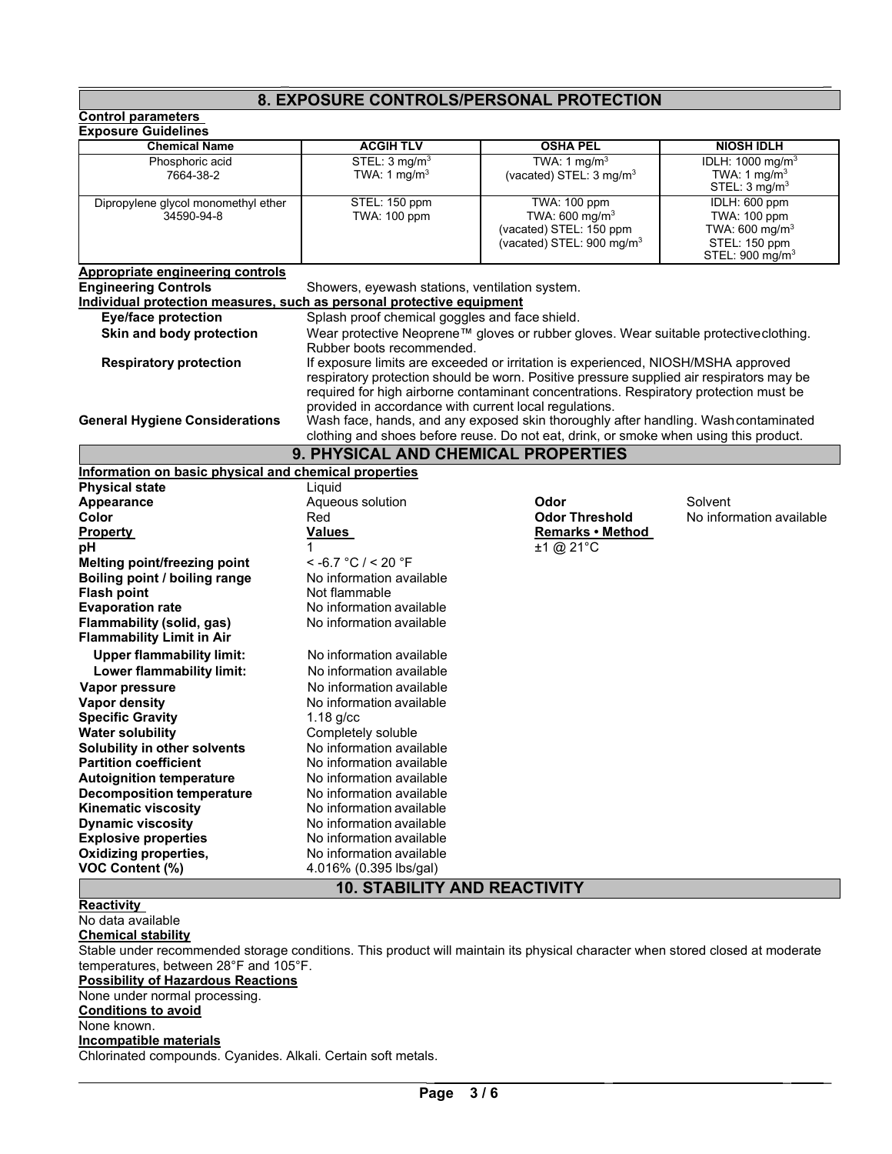# **8. EXPOSURE CONTROLS/PERSONAL PROTECTION**

\_ \_

| <b>Control parameters</b>                                                                                                     |                                                        |                                                                                                                                                                                                                                                                        |                                                                                                   |
|-------------------------------------------------------------------------------------------------------------------------------|--------------------------------------------------------|------------------------------------------------------------------------------------------------------------------------------------------------------------------------------------------------------------------------------------------------------------------------|---------------------------------------------------------------------------------------------------|
| <b>Exposure Guidelines</b>                                                                                                    |                                                        |                                                                                                                                                                                                                                                                        |                                                                                                   |
| <b>Chemical Name</b>                                                                                                          | <b>ACGIH TLV</b><br>STEL: 3 mg/m <sup>3</sup>          | <b>OSHA PEL</b>                                                                                                                                                                                                                                                        | <b>NIOSH IDLH</b><br>IDLH: 1000 mg/m <sup>3</sup>                                                 |
| Phosphoric acid<br>7664-38-2                                                                                                  | TWA: 1 mg/m <sup>3</sup>                               | TWA: 1 mg/m <sup>3</sup><br>(vacated) STEL: 3 mg/m <sup>3</sup>                                                                                                                                                                                                        | TWA: 1 mg/m <sup>3</sup><br>STEL: $3 \text{ mg/m}^3$                                              |
| Dipropylene glycol monomethyl ether<br>34590-94-8                                                                             | STEL: 150 ppm<br>TWA: 100 ppm                          | TWA: 100 ppm<br>TWA: $600 \text{ mg/m}^3$<br>(vacated) STEL: 150 ppm<br>(vacated) STEL: 900 mg/m <sup>3</sup>                                                                                                                                                          | IDLH: 600 ppm<br>TWA: 100 ppm<br>TWA: 600 mg/ $m3$<br>STEL: 150 ppm<br>STEL: $900 \text{ mg/m}^3$ |
| <b>Appropriate engineering controls</b>                                                                                       |                                                        |                                                                                                                                                                                                                                                                        |                                                                                                   |
| <b>Engineering Controls</b>                                                                                                   | Showers, eyewash stations, ventilation system.         |                                                                                                                                                                                                                                                                        |                                                                                                   |
| Individual protection measures, such as personal protective equipment                                                         |                                                        |                                                                                                                                                                                                                                                                        |                                                                                                   |
| <b>Eye/face protection</b>                                                                                                    | Splash proof chemical goggles and face shield.         |                                                                                                                                                                                                                                                                        |                                                                                                   |
| Skin and body protection                                                                                                      | Rubber boots recommended.                              | Wear protective Neoprene™ gloves or rubber gloves. Wear suitable protectiveclothing.                                                                                                                                                                                   |                                                                                                   |
| <b>Respiratory protection</b>                                                                                                 | provided in accordance with current local regulations. | If exposure limits are exceeded or irritation is experienced, NIOSH/MSHA approved<br>respiratory protection should be worn. Positive pressure supplied air respirators may be<br>required for high airborne contaminant concentrations. Respiratory protection must be |                                                                                                   |
| <b>General Hygiene Considerations</b>                                                                                         |                                                        | Wash face, hands, and any exposed skin thoroughly after handling. Washcontaminated<br>clothing and shoes before reuse. Do not eat, drink, or smoke when using this product.                                                                                            |                                                                                                   |
|                                                                                                                               | 9. PHYSICAL AND CHEMICAL PROPERTIES                    |                                                                                                                                                                                                                                                                        |                                                                                                   |
| Information on basic physical and chemical properties                                                                         |                                                        |                                                                                                                                                                                                                                                                        |                                                                                                   |
| <b>Physical state</b>                                                                                                         | Liauid                                                 |                                                                                                                                                                                                                                                                        |                                                                                                   |
| Appearance                                                                                                                    | Aqueous solution                                       | Odor                                                                                                                                                                                                                                                                   | Solvent                                                                                           |
| Color                                                                                                                         | Red                                                    | <b>Odor Threshold</b>                                                                                                                                                                                                                                                  | No information available                                                                          |
| <b>Property</b>                                                                                                               | <b>Values</b>                                          | Remarks • Method                                                                                                                                                                                                                                                       |                                                                                                   |
| рH                                                                                                                            | 1                                                      | $±1$ @ 21°C                                                                                                                                                                                                                                                            |                                                                                                   |
| Melting point/freezing point                                                                                                  | $<$ -6.7 °C / < 20 °F<br>No information available      |                                                                                                                                                                                                                                                                        |                                                                                                   |
| Boiling point / boiling range<br><b>Flash point</b>                                                                           | Not flammable                                          |                                                                                                                                                                                                                                                                        |                                                                                                   |
| <b>Evaporation rate</b>                                                                                                       | No information available                               |                                                                                                                                                                                                                                                                        |                                                                                                   |
| Flammability (solid, gas)                                                                                                     | No information available                               |                                                                                                                                                                                                                                                                        |                                                                                                   |
| <b>Flammability Limit in Air</b>                                                                                              |                                                        |                                                                                                                                                                                                                                                                        |                                                                                                   |
| <b>Upper flammability limit:</b>                                                                                              | No information available                               |                                                                                                                                                                                                                                                                        |                                                                                                   |
| Lower flammability limit:                                                                                                     | No information available                               |                                                                                                                                                                                                                                                                        |                                                                                                   |
| Vapor pressure                                                                                                                | No information available                               |                                                                                                                                                                                                                                                                        |                                                                                                   |
| <b>Vapor density</b>                                                                                                          | No information available                               |                                                                                                                                                                                                                                                                        |                                                                                                   |
| <b>Specific Gravity</b>                                                                                                       | $1.18$ g/cc                                            |                                                                                                                                                                                                                                                                        |                                                                                                   |
| <b>Water solubility</b>                                                                                                       | Completely soluble                                     |                                                                                                                                                                                                                                                                        |                                                                                                   |
| Solubility in other solvents                                                                                                  | No information available                               |                                                                                                                                                                                                                                                                        |                                                                                                   |
| <b>Partition coefficient</b>                                                                                                  | No information available                               |                                                                                                                                                                                                                                                                        |                                                                                                   |
| <b>Autoignition temperature</b>                                                                                               | No information available                               |                                                                                                                                                                                                                                                                        |                                                                                                   |
| <b>Decomposition temperature</b>                                                                                              | No information available                               |                                                                                                                                                                                                                                                                        |                                                                                                   |
| <b>Kinematic viscosity</b>                                                                                                    | No information available                               |                                                                                                                                                                                                                                                                        |                                                                                                   |
| <b>Dynamic viscosity</b>                                                                                                      | No information available                               |                                                                                                                                                                                                                                                                        |                                                                                                   |
| <b>Explosive properties</b><br><b>Oxidizing properties,</b>                                                                   | No information available<br>No information available   |                                                                                                                                                                                                                                                                        |                                                                                                   |
| VOC Content (%)                                                                                                               | 4.016% (0.395 lbs/gal)                                 |                                                                                                                                                                                                                                                                        |                                                                                                   |
|                                                                                                                               | <b>10. STABILITY AND REACTIVITY</b>                    |                                                                                                                                                                                                                                                                        |                                                                                                   |
| <b>Reactivity</b>                                                                                                             |                                                        |                                                                                                                                                                                                                                                                        |                                                                                                   |
| No data available                                                                                                             |                                                        |                                                                                                                                                                                                                                                                        |                                                                                                   |
| <b>Chemical stability</b>                                                                                                     |                                                        |                                                                                                                                                                                                                                                                        |                                                                                                   |
| Stable under recommended storage conditions. This product will maintain its physical character when stored closed at moderate |                                                        |                                                                                                                                                                                                                                                                        |                                                                                                   |
| temperatures, between 28°F and 105°F.                                                                                         |                                                        |                                                                                                                                                                                                                                                                        |                                                                                                   |
| <b>Possibility of Hazardous Reactions</b>                                                                                     |                                                        |                                                                                                                                                                                                                                                                        |                                                                                                   |
| None under normal processing.                                                                                                 |                                                        |                                                                                                                                                                                                                                                                        |                                                                                                   |
| <b>Conditions to avoid</b>                                                                                                    |                                                        |                                                                                                                                                                                                                                                                        |                                                                                                   |
| None known.                                                                                                                   |                                                        |                                                                                                                                                                                                                                                                        |                                                                                                   |
| Incompatible materials                                                                                                        |                                                        |                                                                                                                                                                                                                                                                        |                                                                                                   |
| Chlorinated compounds. Cyanides. Alkali. Certain soft metals.                                                                 |                                                        |                                                                                                                                                                                                                                                                        |                                                                                                   |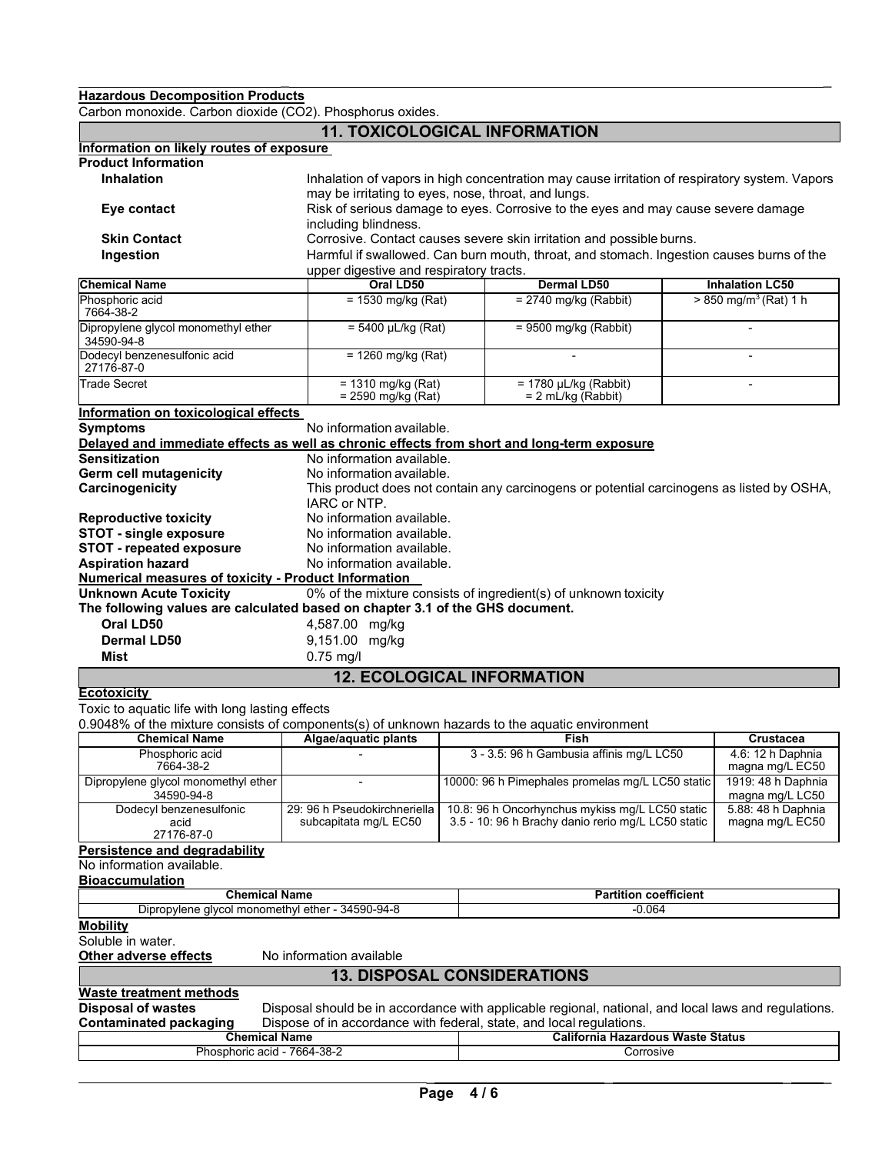\_ \_ **Hazardous Decomposition Products**

Carbon monoxide. Carbon dioxide (CO2). Phosphorus oxides.

|                                                                                                | <b>11. TOXICOLOGICAL INFORMATION</b>                                 |                                                                                                       |                                       |
|------------------------------------------------------------------------------------------------|----------------------------------------------------------------------|-------------------------------------------------------------------------------------------------------|---------------------------------------|
| Information on likely routes of exposure                                                       |                                                                      |                                                                                                       |                                       |
| <b>Product Information</b>                                                                     |                                                                      |                                                                                                       |                                       |
| <b>Inhalation</b>                                                                              |                                                                      | Inhalation of vapors in high concentration may cause irritation of respiratory system. Vapors         |                                       |
|                                                                                                | may be irritating to eyes, nose, throat, and lungs.                  |                                                                                                       |                                       |
| Eye contact                                                                                    |                                                                      | Risk of serious damage to eyes. Corrosive to the eyes and may cause severe damage                     |                                       |
|                                                                                                | including blindness.                                                 |                                                                                                       |                                       |
| <b>Skin Contact</b>                                                                            |                                                                      | Corrosive. Contact causes severe skin irritation and possible burns.                                  |                                       |
| Ingestion                                                                                      |                                                                      | Harmful if swallowed. Can burn mouth, throat, and stomach. Ingestion causes burns of the              |                                       |
|                                                                                                | upper digestive and respiratory tracts.                              |                                                                                                       |                                       |
| <b>Chemical Name</b>                                                                           | Oral LD50                                                            | <b>Dermal LD50</b>                                                                                    | <b>Inhalation LC50</b>                |
| Phosphoric acid<br>7664-38-2                                                                   | $= 1530$ mg/kg (Rat)                                                 | $= 2740$ mg/kg (Rabbit)                                                                               | $> 850$ mg/m <sup>3</sup> (Rat) 1 h   |
| Dipropylene glycol monomethyl ether<br>34590-94-8                                              | $= 5400 \mu L/kg (Rat)$                                              | $= 9500$ mg/kg (Rabbit)                                                                               |                                       |
| Dodecyl benzenesulfonic acid<br>27176-87-0                                                     | $= 1260$ mg/kg (Rat)                                                 |                                                                                                       |                                       |
| <b>Trade Secret</b>                                                                            | $= 1310$ mg/kg (Rat)<br>= 2590 mg/kg (Rat)                           | $= 1780$ µL/kg (Rabbit)<br>$= 2$ mL/kg (Rabbit)                                                       |                                       |
| Information on toxicological effects                                                           |                                                                      |                                                                                                       |                                       |
| <b>Symptoms</b>                                                                                | No information available.                                            |                                                                                                       |                                       |
| Delayed and immediate effects as well as chronic effects from short and long-term exposure     |                                                                      |                                                                                                       |                                       |
| <b>Sensitization</b>                                                                           | No information available.                                            |                                                                                                       |                                       |
| Germ cell mutagenicity                                                                         | No information available.                                            |                                                                                                       |                                       |
| Carcinogenicity                                                                                | IARC or NTP.                                                         | This product does not contain any carcinogens or potential carcinogens as listed by OSHA,             |                                       |
| <b>Reproductive toxicity</b>                                                                   | No information available.                                            |                                                                                                       |                                       |
| <b>STOT - single exposure</b>                                                                  | No information available.                                            |                                                                                                       |                                       |
| <b>STOT - repeated exposure</b>                                                                | No information available.                                            |                                                                                                       |                                       |
| <b>Aspiration hazard</b>                                                                       | No information available.                                            |                                                                                                       |                                       |
| <b>Numerical measures of toxicity - Product Information</b>                                    |                                                                      |                                                                                                       |                                       |
| <b>Unknown Acute Toxicity</b>                                                                  |                                                                      | 0% of the mixture consists of ingredient(s) of unknown toxicity                                       |                                       |
| The following values are calculated based on chapter 3.1 of the GHS document.                  |                                                                      |                                                                                                       |                                       |
| Oral LD50                                                                                      | 4,587.00 mg/kg                                                       |                                                                                                       |                                       |
| <b>Dermal LD50</b>                                                                             |                                                                      |                                                                                                       |                                       |
|                                                                                                | 9,151.00 mg/kg                                                       |                                                                                                       |                                       |
| Mist                                                                                           | $0.75$ mg/l                                                          |                                                                                                       |                                       |
|                                                                                                | <b>12. ECOLOGICAL INFORMATION</b>                                    |                                                                                                       |                                       |
| <b>Ecotoxicity</b>                                                                             |                                                                      |                                                                                                       |                                       |
| Toxic to aquatic life with long lasting effects                                                |                                                                      |                                                                                                       |                                       |
| 0.9048% of the mixture consists of components(s) of unknown hazards to the aquatic environment |                                                                      |                                                                                                       |                                       |
| <b>Chemical Name</b>                                                                           | Algae/aquatic plants                                                 | <b>Fish</b>                                                                                           | Crustacea                             |
| Phosphoric acid<br>7664-38-2                                                                   |                                                                      | 3 - 3.5: 96 h Gambusia affinis mg/L LC50                                                              | 4.6: 12 h Daphnia<br>magna mg/L EC50  |
| Dipropylene glycol monomethyl ether<br>34590-94-8                                              |                                                                      | 10000: 96 h Pimephales promelas mg/L LC50 static                                                      | 1919: 48 h Daphnia<br>magna mg/L LC50 |
| Dodecyl benzenesulfonic<br>acid                                                                | 29: 96 h Pseudokirchneriella<br>subcapitata mg/L EC50                | 10.8: 96 h Oncorhynchus mykiss mg/L LC50 static<br>3.5 - 10: 96 h Brachy danio rerio mg/L LC50 static | 5.88: 48 h Daphnia<br>magna mg/L EC50 |
| 27176-87-0<br>Persistence and degradability                                                    |                                                                      |                                                                                                       |                                       |
| No information available.                                                                      |                                                                      |                                                                                                       |                                       |
| <b>Bioaccumulation</b>                                                                         |                                                                      |                                                                                                       |                                       |
| <b>Chemical Name</b>                                                                           |                                                                      | <b>Partition coefficient</b>                                                                          |                                       |
| Dipropylene glycol monomethyl ether - 34590-94-8                                               |                                                                      | $-0.064$                                                                                              |                                       |
| <b>Mobility</b>                                                                                |                                                                      |                                                                                                       |                                       |
| Soluble in water.                                                                              |                                                                      |                                                                                                       |                                       |
| <b>Other adverse effects</b>                                                                   | No information available                                             |                                                                                                       |                                       |
|                                                                                                | <b>13. DISPOSAL CONSIDERATIONS</b>                                   |                                                                                                       |                                       |
| <b>Waste treatment methods</b>                                                                 |                                                                      |                                                                                                       |                                       |
| <b>Disposal of wastes</b>                                                                      |                                                                      | Disposal should be in accordance with applicable regional, national, and local laws and regulations.  |                                       |
| <b>Contaminated packaging</b>                                                                  | Dispose of in accordance with federal, state, and local regulations. |                                                                                                       |                                       |
| <b>Chemical Name</b>                                                                           |                                                                      | <b>California Hazardous Waste Status</b>                                                              |                                       |
| Phosphoric acid - 7664-38-2                                                                    |                                                                      | Corrosive                                                                                             |                                       |
|                                                                                                |                                                                      |                                                                                                       |                                       |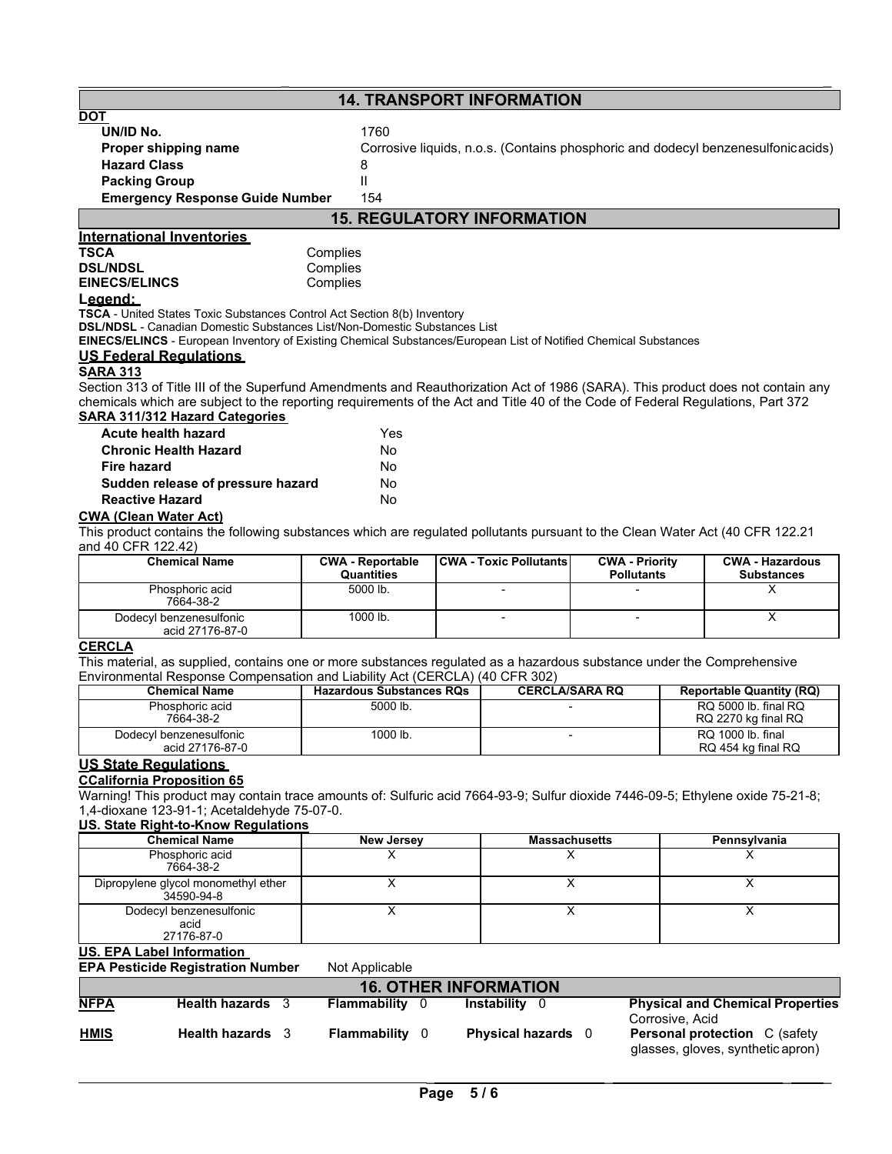# **14. TRANSPORT INFORMATION**

| UN/ID No.                              | 1760  |
|----------------------------------------|-------|
| Proper shipping name                   | Corro |
| <b>Hazard Class</b>                    | 8     |
| <b>Packing Group</b>                   | Ш     |
| <b>Emergency Response Guide Number</b> | 154   |

**rosive liquids, n.o.s. (Contains phosphoric and dodecyl benzenesulfonicacids)** 

\_ \_

# **15. REGULATORY INFORMATION**

## **International Inventories**

**TSCA** Complies<br> **DSL/NDSL** Complies **DSL/NDSL**<br> **EINECS/ELINCS EINECS/ELINCS Complies EINECS/ELINCS** 

### **Legend:**

**TSCA** - United States Toxic Substances Control Act Section 8(b) Inventory

**DSL/NDSL** - Canadian Domestic Substances List/Non-Domestic Substances List

**EINECS/ELINCS** - European Inventory of Existing Chemical Substances/European List of Notified Chemical Substances

## **US Federal Regulations**

### **SARA 313**

Section 313 of Title III of the Superfund Amendments and Reauthorization Act of 1986 (SARA). This product does not contain any chemicals which are subject to the reporting requirements of the Act and Title 40 of the Code of Federal Regulations, Part 372 **SARA 311/312 Hazard Categories**

| <b>Acute health hazard</b>        | Yes |
|-----------------------------------|-----|
| <b>Chronic Health Hazard</b>      | Nο  |
| Fire hazard                       | No  |
| Sudden release of pressure hazard | No  |
| <b>Reactive Hazard</b>            | Nο  |

### **CWA (Clean Water Act)**

This product contains the following substances which are regulated pollutants pursuant to the Clean Water Act (40 CFR 122.21 and 40 CFR 122.42)

| <b>Chemical Name</b>                       | <b>CWA - Reportable</b><br><b>Quantities</b> | <b>CWA - Toxic Pollutants</b> | <b>CWA - Priority</b><br><b>Pollutants</b> | <b>CWA - Hazardous</b><br><b>Substances</b> |
|--------------------------------------------|----------------------------------------------|-------------------------------|--------------------------------------------|---------------------------------------------|
| Phosphoric acid<br>7664-38-2               | 5000 lb.                                     |                               |                                            |                                             |
| Dodecyl benzenesulfonic<br>acid 27176-87-0 | 1000 lb.                                     |                               |                                            |                                             |

### **CERCLA**

This material, as supplied, contains one or more substances regulated as a hazardous substance under the Comprehensive Environmental Response Compensation and Liability Act (CERCLA) (40 CFR 302)

| <b>Chemical Name</b>                       | <b>Hazardous Substances RQs</b> | <b>CERCLA/SARA RQ</b> | <b>Reportable Quantity (RQ)</b>             |
|--------------------------------------------|---------------------------------|-----------------------|---------------------------------------------|
| Phosphoric acid<br>7664-38-2               | 5000 lb.                        |                       | RQ 5000 lb. final RQ<br>RQ 2270 kg final RQ |
| Dodecyl benzenesulfonic<br>acid 27176-87-0 | 1000 lb.                        |                       | RQ 1000 lb. final<br>RQ 454 kg final RQ     |

### **US State Regulations**

### **CCalifornia Proposition 65**

Warning! This product may contain trace amounts of: Sulfuric acid 7664-93-9; Sulfur dioxide 7446-09-5; Ethylene oxide 75-21-8; 1,4-dioxane 123-91-1; Acetaldehyde 75-07-0.

### **U. S. State Right-to-Know Regulations**

| <b>Chemical Name</b>                              | New Jersey | <b>Massachusetts</b> | Pennsylvania |
|---------------------------------------------------|------------|----------------------|--------------|
| Phosphoric acid<br>7664-38-2                      |            |                      |              |
| Dipropylene glycol monomethyl ether<br>34590-94-8 |            |                      |              |
| Dodecyl benzenesulfonic<br>acid<br>27176-87-0     |            |                      |              |

### **U.S. EPA Label Information**

### **EPA Pesticide Registration Number** Not Applicable

|             | <b>16. OTHER INFORMATION</b> |  |                       |  |                           |  |                                                                           |
|-------------|------------------------------|--|-----------------------|--|---------------------------|--|---------------------------------------------------------------------------|
| <b>NFPA</b> | <b>Health hazards</b> 3      |  | <b>Flammability</b> 0 |  | Instabilitv               |  | <b>Physical and Chemical Properties</b><br>Corrosive, Acid                |
| <b>HMIS</b> | <b>Health hazards</b> 3      |  | <b>Flammability</b> 0 |  | <b>Physical hazards</b> 0 |  | <b>Personal protection</b> C (safety<br>glasses, gloves, synthetic apron) |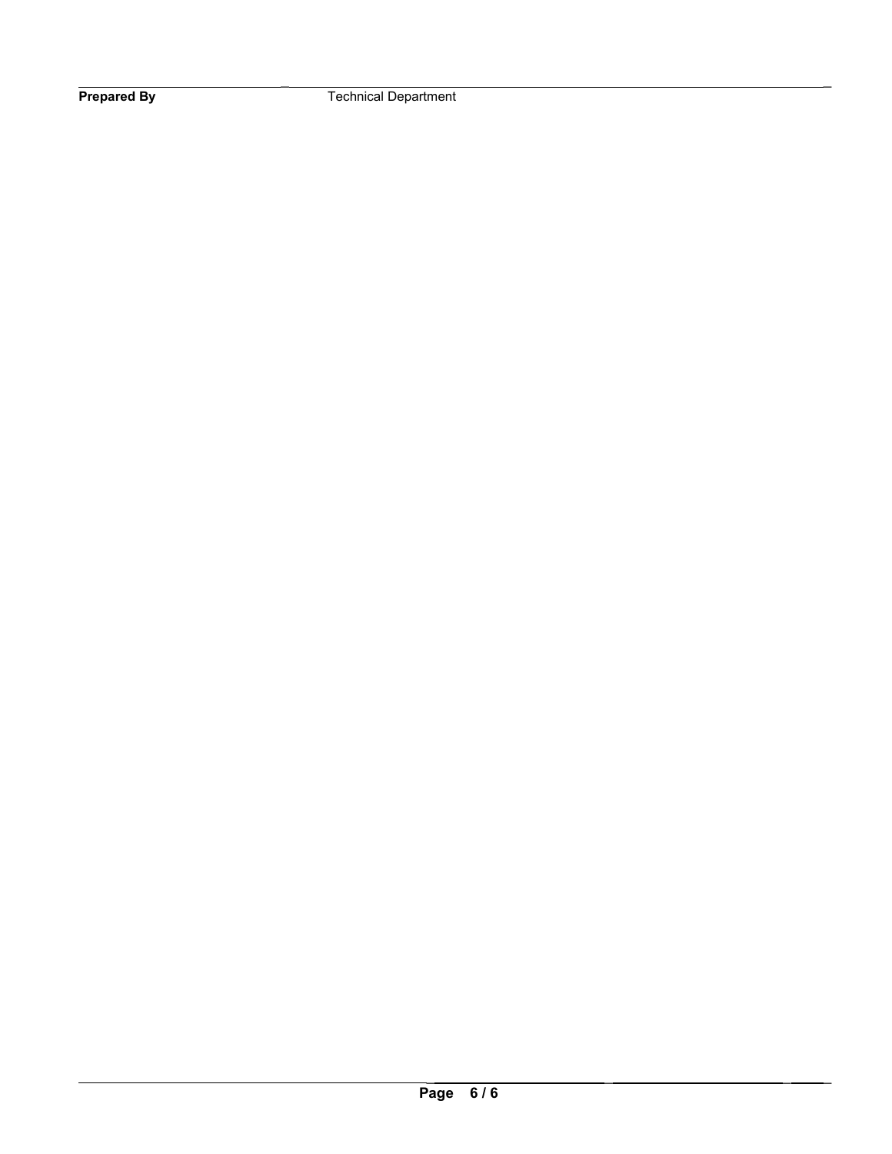\_ \_ **Prepared By Technical Department**